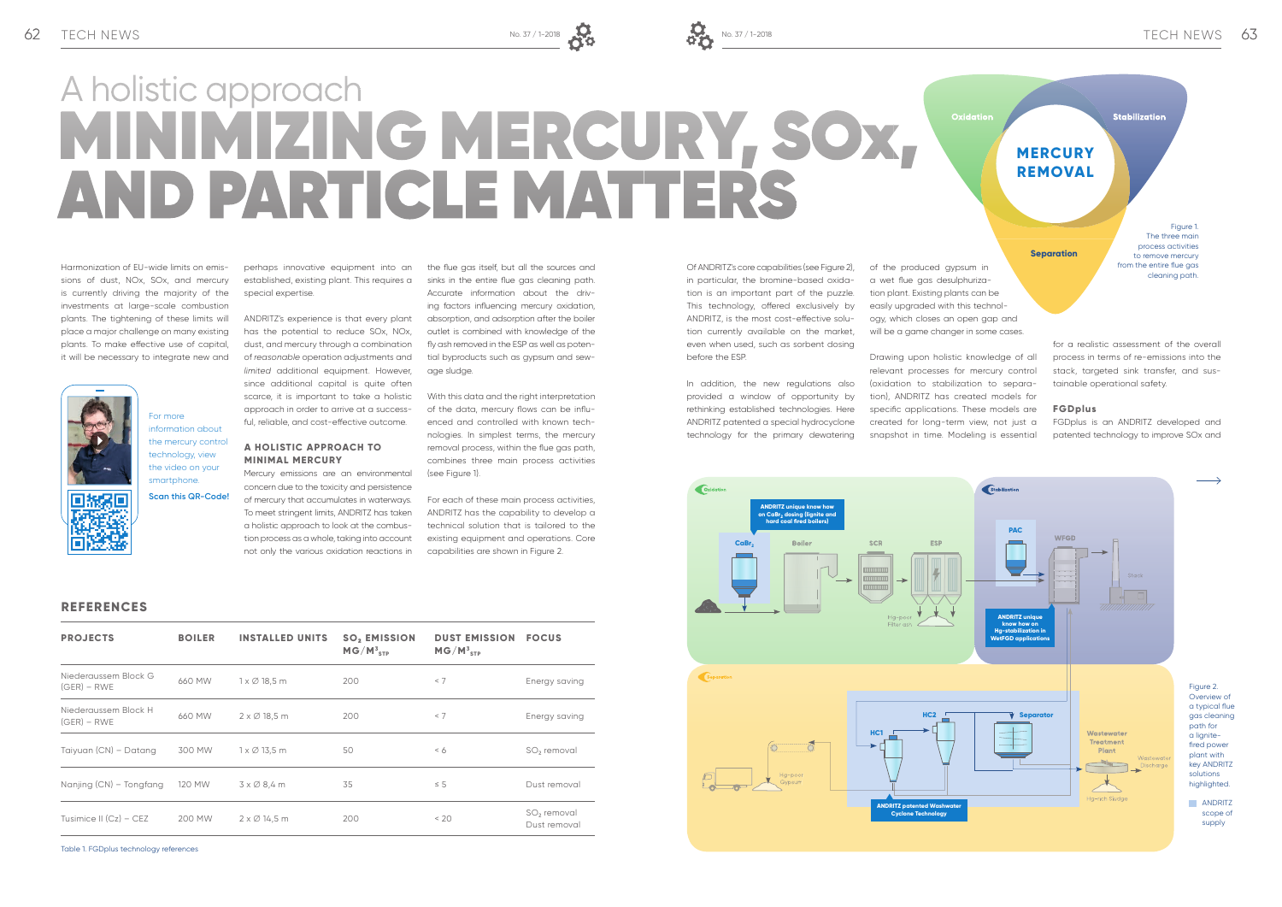

ANDRITZ's experience is that every plant has the potential to reduce SOx, NOx, dust, and mercury through a combination of *reasonable* operation adjustments and *limited* additional equipment. However, since additional capital is quite often scarce, it is important to take a holistic approach in order to arrive at a successful, reliable, and cost-effective outcome.

Harmonization of EU-wide limits on emissions of dust, NOx, SOx, and mercury is currently driving the majority of the investments at large-scale combustion plants. The tightening of these limits will place a major challenge on many existing plants. To make effective use of capital, it will be necessary to integrate new and



perhaps innovative equipment into an established, existing plant. This requires a special expertise.

the flue gas itself, but all the sources and sinks in the entire flue gas cleaning path. Accurate information about the driving factors influencing mercury oxidation, absorption, and adsorption after the boiler outlet is combined with knowledge of the fly ash removed in the ESP as well as potential byproducts such as gypsum and sewage sludge.

With this data and the right interpretation of the data, mercury flows can be influenced and controlled with known technologies. In simplest terms, the mercury removal process, within the flue gas path, combines three main process activities (see Figure 1).

### **A HOLISTIC APPROACH TO MINIMAL MERCURY** Mercury emissions are an environmental

For more information about the mercury control technology, view the video on your smartphone

concern due to the toxicity and persistence of mercury that accumulates in waterways. To meet stringent limits, ANDRITZ has taken a holistic approach to look at the combustion process as a whole, taking into account not only the various oxidation reactions in

> Overview of a typical flue gas cleaning key ANDRITZ

# MINIMIZING MERCURY, SOX, AND PARTICLE MATTERS A holistic approach

For each of these main process activities, ANDRITZ has the capability to develop a technical solution that is tailored to the existing equipment and operations. Core capabilities are shown in Figure 2.

**Scan this QR-Code!**

**PROJECTS BOILER INSTALLED UNITS SO<sub>2</sub> EMISSION** 



scope of supply

**REFERENCES**

| <b>PROJECTS</b>                       | <b>BOILER</b> | <b>INSTALLED UNITS</b>      | <b>SO, EMISSION</b><br>$MG/M_{\rm STP}^3$ | <b>DUST EMISSION</b><br>$MG/M_{\rm 3\,TPI}^3$ | <b>FOCUS</b>                            |
|---------------------------------------|---------------|-----------------------------|-------------------------------------------|-----------------------------------------------|-----------------------------------------|
| Niederaussem Block G<br>$(GER) - RWE$ | 660 MW        | $1 \times \emptyset$ 18,5 m | 200                                       | < 7                                           | Energy saving                           |
| Niederaussem Block H<br>$(GER) - RWE$ | 660 MW        | $2 \times \emptyset$ 18,5 m | 200                                       | < 7                                           | Energy saving                           |
| Taiyuan (CN) - Datang                 | 300 MW        | $1 \times \emptyset$ 13,5 m | 50                                        | < 6                                           | SO <sub>2</sub> removal                 |
| Nanjing (CN) - Tongfang               | 120 MW        | $3 \times \emptyset$ 8,4 m  | 35                                        | $\leq$ 5                                      | Dust removal                            |
| Tusimice II $(Cz)$ – CEZ              | 200 MW        | $2 \times \emptyset$ 14,5 m | 200                                       | < 20                                          | SO <sub>2</sub> removal<br>Dust removal |

Of ANDRITZ's core capabilities (see Figure 2), in particular, the bromine-based oxidation is an important part of the puzzle. This technology, offered exclusively by ANDRITZ, is the most cost-effective solution currently available on the market, even when used, such as sorbent dosing before the ESP.

In addition, the new regulations also provided a window of opportunity by rethinking established technologies. Here ANDRITZ patented a special hydrocyclone technology for the primary dewatering

of the produced gypsum in a wet flue gas desulphurization plant. Existing plants can be easily upgraded with this technology, which closes an open gap and will be a game changer in some cases.

Drawing upon holistic knowledge of all relevant processes for mercury control (oxidation to stabilization to separation), ANDRITZ has created models for specific applications. These models are created for long-term view, not just a snapshot in time. Modeling is essential

for a realistic assessment of the overall process in terms of re-emissions into the stack, targeted sink transfer, and sustainable operational safety.

### **FGDplus**

FGDplus is an ANDRITZ developed and patented technology to improve SOx and